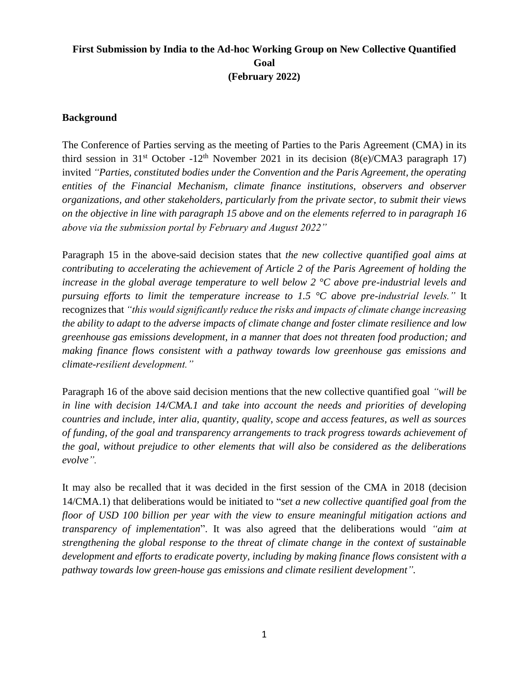# **First Submission by India to the Ad-hoc Working Group on New Collective Quantified Goal (February 2022)**

## **Background**

The Conference of Parties serving as the meeting of Parties to the Paris Agreement (CMA) in its third session in 31<sup>st</sup> October -12<sup>th</sup> November 2021 in its decision (8(e)/CMA3 paragraph 17) invited *"Parties, constituted bodies under the Convention and the Paris Agreement, the operating entities of the Financial Mechanism, climate finance institutions, observers and observer organizations, and other stakeholders, particularly from the private sector, to submit their views on the objective in line with paragraph 15 above and on the elements referred to in paragraph 16 above via the submission portal by February and August 2022"*

Paragraph 15 in the above-said decision states that *the new collective quantified goal aims at contributing to accelerating the achievement of Article 2 of the Paris Agreement of holding the increase in the global average temperature to well below 2 °C above pre-industrial levels and pursuing efforts to limit the temperature increase to 1.5 °C above pre-industrial levels."* It recognizes that *"this would significantly reduce the risks and impacts of climate change increasing the ability to adapt to the adverse impacts of climate change and foster climate resilience and low greenhouse gas emissions development, in a manner that does not threaten food production; and making finance flows consistent with a pathway towards low greenhouse gas emissions and climate-resilient development."*

Paragraph 16 of the above said decision mentions that the new collective quantified goal *"will be in line with decision 14/CMA.1 and take into account the needs and priorities of developing countries and include, inter alia, quantity, quality, scope and access features, as well as sources of funding, of the goal and transparency arrangements to track progress towards achievement of the goal, without prejudice to other elements that will also be considered as the deliberations evolve".*

It may also be recalled that it was decided in the first session of the CMA in 2018 (decision 14/CMA.1) that deliberations would be initiated to "*set a new collective quantified goal from the floor of USD 100 billion per year with the view to ensure meaningful mitigation actions and transparency of implementation*". It was also agreed that the deliberations would *"aim at strengthening the global response to the threat of climate change in the context of sustainable development and efforts to eradicate poverty, including by making finance flows consistent with a pathway towards low green-house gas emissions and climate resilient development".*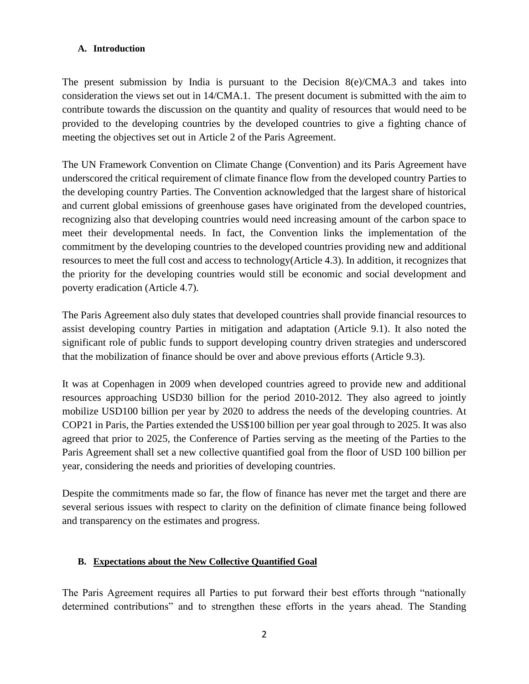#### **A. Introduction**

The present submission by India is pursuant to the Decision 8(e)/CMA.3 and takes into consideration the views set out in 14/CMA.1. The present document is submitted with the aim to contribute towards the discussion on the quantity and quality of resources that would need to be provided to the developing countries by the developed countries to give a fighting chance of meeting the objectives set out in Article 2 of the Paris Agreement.

The UN Framework Convention on Climate Change (Convention) and its Paris Agreement have underscored the critical requirement of climate finance flow from the developed country Parties to the developing country Parties. The Convention acknowledged that the largest share of historical and current global emissions of greenhouse gases have originated from the developed countries, recognizing also that developing countries would need increasing amount of the carbon space to meet their developmental needs. In fact, the Convention links the implementation of the commitment by the developing countries to the developed countries providing new and additional resources to meet the full cost and access to technology(Article 4.3). In addition, it recognizes that the priority for the developing countries would still be economic and social development and poverty eradication (Article 4.7).

The Paris Agreement also duly states that developed countries shall provide financial resources to assist developing country Parties in mitigation and adaptation (Article 9.1). It also noted the significant role of public funds to support developing country driven strategies and underscored that the mobilization of finance should be over and above previous efforts (Article 9.3).

It was at Copenhagen in 2009 when developed countries agreed to provide new and additional resources approaching USD30 billion for the period 2010-2012. They also agreed to jointly mobilize USD100 billion per year by 2020 to address the needs of the developing countries. At COP21 in Paris, the Parties extended the US\$100 billion per year goal through to 2025. It was also agreed that prior to 2025, the Conference of Parties serving as the meeting of the Parties to the Paris Agreement shall set a new collective quantified goal from the floor of USD 100 billion per year, considering the needs and priorities of developing countries.

Despite the commitments made so far, the flow of finance has never met the target and there are several serious issues with respect to clarity on the definition of climate finance being followed and transparency on the estimates and progress.

#### **B. Expectations about the New Collective Quantified Goal**

The Paris Agreement requires all Parties to put forward their best efforts through "nationally determined contributions" and to strengthen these efforts in the years ahead. The Standing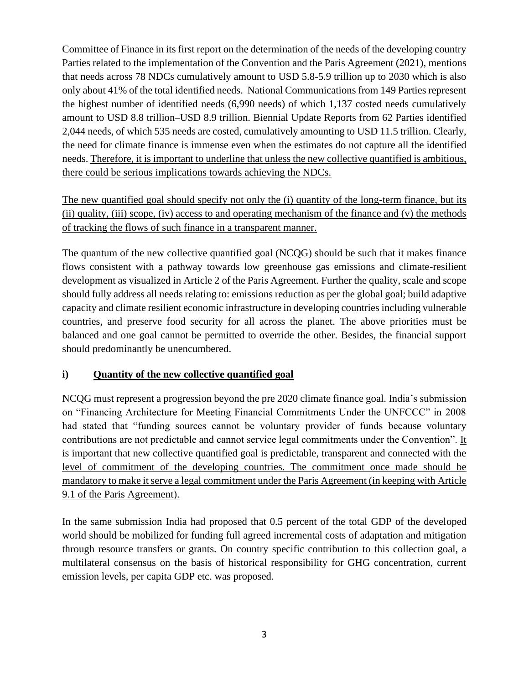Committee of Finance in its first report on the determination of the needs of the developing country Parties related to the implementation of the Convention and the Paris Agreement (2021), mentions that needs across 78 NDCs cumulatively amount to USD 5.8-5.9 trillion up to 2030 which is also only about 41% of the total identified needs. National Communications from 149 Parties represent the highest number of identified needs (6,990 needs) of which 1,137 costed needs cumulatively amount to USD 8.8 trillion–USD 8.9 trillion. Biennial Update Reports from 62 Parties identified 2,044 needs, of which 535 needs are costed, cumulatively amounting to USD 11.5 trillion. Clearly, the need for climate finance is immense even when the estimates do not capture all the identified needs. Therefore, it is important to underline that unless the new collective quantified is ambitious, there could be serious implications towards achieving the NDCs.

The new quantified goal should specify not only the (i) quantity of the long-term finance, but its (ii) quality, (iii) scope, (iv) access to and operating mechanism of the finance and (v) the methods of tracking the flows of such finance in a transparent manner.

The quantum of the new collective quantified goal (NCQG) should be such that it makes finance flows consistent with a pathway towards low greenhouse gas emissions and climate-resilient development as visualized in Article 2 of the Paris Agreement. Further the quality, scale and scope should fully address all needs relating to: emissions reduction as per the global goal; build adaptive capacity and climate resilient economic infrastructure in developing countries including vulnerable countries, and preserve food security for all across the planet. The above priorities must be balanced and one goal cannot be permitted to override the other. Besides, the financial support should predominantly be unencumbered.

## **i) Quantity of the new collective quantified goal**

NCQG must represent a progression beyond the pre 2020 climate finance goal. India's submission on "Financing Architecture for Meeting Financial Commitments Under the UNFCCC" in 2008 had stated that "funding sources cannot be voluntary provider of funds because voluntary contributions are not predictable and cannot service legal commitments under the Convention". It is important that new collective quantified goal is predictable, transparent and connected with the level of commitment of the developing countries. The commitment once made should be mandatory to make it serve a legal commitment under the Paris Agreement (in keeping with Article 9.1 of the Paris Agreement).

In the same submission India had proposed that 0.5 percent of the total GDP of the developed world should be mobilized for funding full agreed incremental costs of adaptation and mitigation through resource transfers or grants. On country specific contribution to this collection goal, a multilateral consensus on the basis of historical responsibility for GHG concentration, current emission levels, per capita GDP etc. was proposed.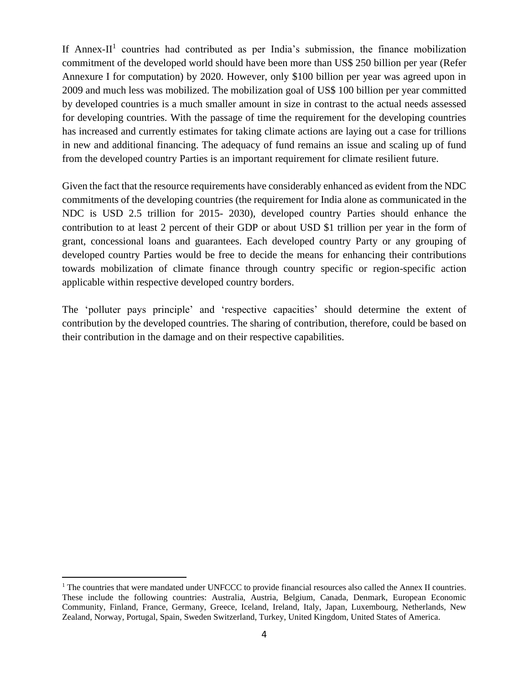If Annex-II<sup>1</sup> countries had contributed as per India's submission, the finance mobilization commitment of the developed world should have been more than US\$ 250 billion per year (Refer Annexure I for computation) by 2020. However, only \$100 billion per year was agreed upon in 2009 and much less was mobilized. The mobilization goal of US\$ 100 billion per year committed by developed countries is a much smaller amount in size in contrast to the actual needs assessed for developing countries. With the passage of time the requirement for the developing countries has increased and currently estimates for taking climate actions are laying out a case for trillions in new and additional financing. The adequacy of fund remains an issue and scaling up of fund from the developed country Parties is an important requirement for climate resilient future.

Given the fact that the resource requirements have considerably enhanced as evident from the NDC commitments of the developing countries (the requirement for India alone as communicated in the NDC is USD 2.5 trillion for 2015- 2030), developed country Parties should enhance the contribution to at least 2 percent of their GDP or about USD \$1 trillion per year in the form of grant, concessional loans and guarantees. Each developed country Party or any grouping of developed country Parties would be free to decide the means for enhancing their contributions towards mobilization of climate finance through country specific or region-specific action applicable within respective developed country borders.

The 'polluter pays principle' and 'respective capacities' should determine the extent of contribution by the developed countries. The sharing of contribution, therefore, could be based on their contribution in the damage and on their respective capabilities.

<sup>&</sup>lt;sup>1</sup> The countries that were mandated under UNFCCC to provide financial resources also called the Annex II countries. These include the following countries: Australia, Austria, Belgium, Canada, Denmark, European Economic Community, Finland, France, Germany, Greece, Iceland, Ireland, Italy, Japan, Luxembourg, Netherlands, New Zealand, Norway, Portugal, Spain, Sweden Switzerland, Turkey, United Kingdom, United States of America.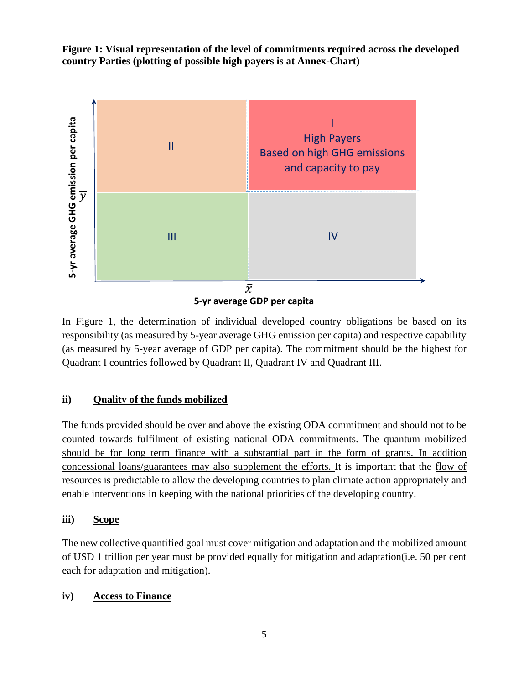**Figure 1: Visual representation of the level of commitments required across the developed country Parties (plotting of possible high payers is at Annex-Chart)**



In Figure 1, the determination of individual developed country obligations be based on its responsibility (as measured by 5-year average GHG emission per capita) and respective capability (as measured by 5-year average of GDP per capita). The commitment should be the highest for Quadrant I countries followed by Quadrant II, Quadrant IV and Quadrant III.

## **ii) Quality of the funds mobilized**

The funds provided should be over and above the existing ODA commitment and should not to be counted towards fulfilment of existing national ODA commitments. The quantum mobilized should be for long term finance with a substantial part in the form of grants. In addition concessional loans/guarantees may also supplement the efforts. It is important that the flow of resources is predictable to allow the developing countries to plan climate action appropriately and enable interventions in keeping with the national priorities of the developing country.

## **iii) Scope**

The new collective quantified goal must cover mitigation and adaptation and the mobilized amount of USD 1 trillion per year must be provided equally for mitigation and adaptation(i.e. 50 per cent each for adaptation and mitigation).

## **iv) Access to Finance**